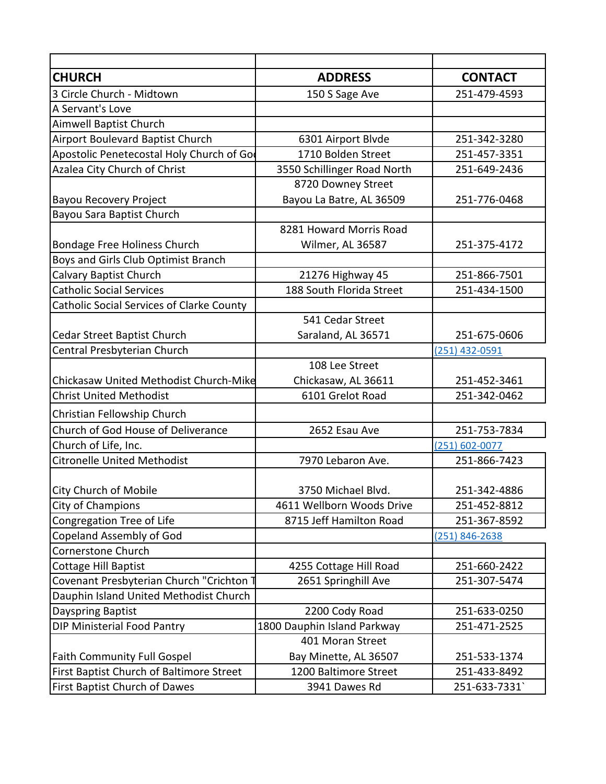| <b>CHURCH</b>                             | <b>ADDRESS</b>              | <b>CONTACT</b> |
|-------------------------------------------|-----------------------------|----------------|
| 3 Circle Church - Midtown                 | 150 S Sage Ave              | 251-479-4593   |
| A Servant's Love                          |                             |                |
| Aimwell Baptist Church                    |                             |                |
| Airport Boulevard Baptist Church          | 6301 Airport Blvde          | 251-342-3280   |
| Apostolic Penetecostal Holy Church of Go  | 1710 Bolden Street          | 251-457-3351   |
| Azalea City Church of Christ              | 3550 Schillinger Road North | 251-649-2436   |
|                                           | 8720 Downey Street          |                |
| <b>Bayou Recovery Project</b>             | Bayou La Batre, AL 36509    | 251-776-0468   |
| Bayou Sara Baptist Church                 |                             |                |
|                                           | 8281 Howard Morris Road     |                |
| Bondage Free Holiness Church              | Wilmer, AL 36587            | 251-375-4172   |
| Boys and Girls Club Optimist Branch       |                             |                |
| Calvary Baptist Church                    | 21276 Highway 45            | 251-866-7501   |
| <b>Catholic Social Services</b>           | 188 South Florida Street    | 251-434-1500   |
| Catholic Social Services of Clarke County |                             |                |
|                                           | 541 Cedar Street            |                |
| Cedar Street Baptist Church               | Saraland, AL 36571          | 251-675-0606   |
| Central Presbyterian Church               |                             | (251) 432-0591 |
|                                           | 108 Lee Street              |                |
| Chickasaw United Methodist Church-Mike    | Chickasaw, AL 36611         | 251-452-3461   |
| <b>Christ United Methodist</b>            | 6101 Grelot Road            | 251-342-0462   |
| Christian Fellowship Church               |                             |                |
| <b>Church of God House of Deliverance</b> | 2652 Esau Ave               | 251-753-7834   |
| Church of Life, Inc.                      |                             | (251) 602-0077 |
| <b>Citronelle United Methodist</b>        | 7970 Lebaron Ave.           | 251-866-7423   |
|                                           |                             |                |
| <b>City Church of Mobile</b>              | 3750 Michael Blvd.          | 251-342-4886   |
| City of Champions                         | 4611 Wellborn Woods Drive   | 251-452-8812   |
| Congregation Tree of Life                 | 8715 Jeff Hamilton Road     | 251-367-8592   |
| Copeland Assembly of God                  |                             | (251) 846-2638 |
| Cornerstone Church                        |                             |                |
| <b>Cottage Hill Baptist</b>               | 4255 Cottage Hill Road      | 251-660-2422   |
| Covenant Presbyterian Church "Crichton T  | 2651 Springhill Ave         | 251-307-5474   |
| Dauphin Island United Methodist Church    |                             |                |
| Dayspring Baptist                         | 2200 Cody Road              | 251-633-0250   |
| DIP Ministerial Food Pantry               | 1800 Dauphin Island Parkway | 251-471-2525   |
|                                           | 401 Moran Street            |                |
| <b>Faith Community Full Gospel</b>        | Bay Minette, AL 36507       | 251-533-1374   |
| First Baptist Church of Baltimore Street  | 1200 Baltimore Street       | 251-433-8492   |
| First Baptist Church of Dawes             | 3941 Dawes Rd               | 251-633-7331   |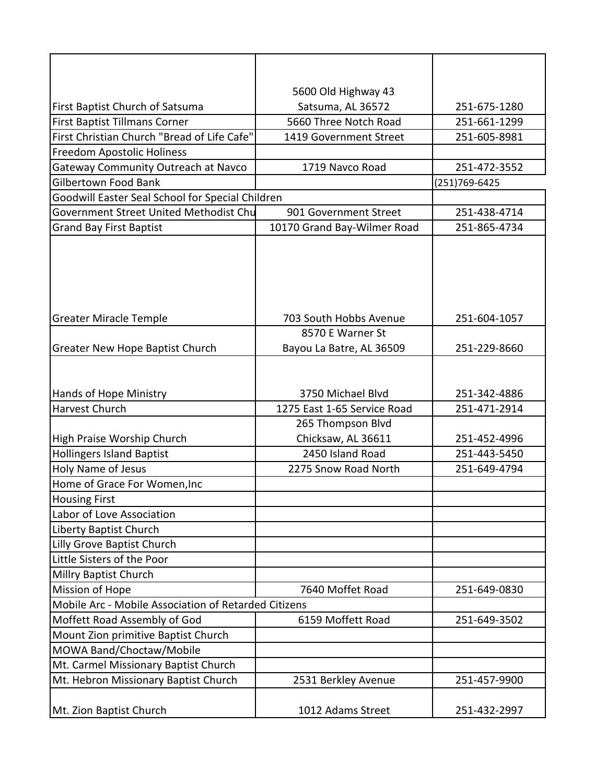|                                                                         | 5600 Old Highway 43<br>Satsuma, AL 36572         | 251-675-1280                 |
|-------------------------------------------------------------------------|--------------------------------------------------|------------------------------|
| First Baptist Church of Satsuma<br><b>First Baptist Tillmans Corner</b> | 5660 Three Notch Road                            | 251-661-1299                 |
| First Christian Church "Bread of Life Cafe"                             |                                                  | 251-605-8981                 |
| Freedom Apostolic Holiness                                              | 1419 Government Street                           |                              |
|                                                                         | 1719 Navco Road                                  | 251-472-3552                 |
| Gateway Community Outreach at Navco<br><b>Gilbertown Food Bank</b>      |                                                  | (251)769-6425                |
| Goodwill Easter Seal School for Special Children                        |                                                  |                              |
| Government Street United Methodist Chu                                  | 901 Government Street                            | 251-438-4714                 |
|                                                                         |                                                  | 251-865-4734                 |
| <b>Grand Bay First Baptist</b>                                          | 10170 Grand Bay-Wilmer Road                      |                              |
|                                                                         |                                                  |                              |
|                                                                         |                                                  |                              |
|                                                                         |                                                  |                              |
|                                                                         |                                                  |                              |
|                                                                         | 703 South Hobbs Avenue                           | 251-604-1057                 |
| <b>Greater Miracle Temple</b>                                           | 8570 E Warner St                                 |                              |
|                                                                         |                                                  |                              |
| <b>Greater New Hope Baptist Church</b>                                  | Bayou La Batre, AL 36509                         | 251-229-8660                 |
|                                                                         |                                                  |                              |
|                                                                         |                                                  |                              |
| Hands of Hope Ministry<br><b>Harvest Church</b>                         | 3750 Michael Blvd<br>1275 East 1-65 Service Road | 251-342-4886                 |
|                                                                         |                                                  | 251-471-2914                 |
|                                                                         | 265 Thompson Blvd                                |                              |
| High Praise Worship Church<br><b>Hollingers Island Baptist</b>          | Chicksaw, AL 36611<br>2450 Island Road           | 251-452-4996                 |
| Holy Name of Jesus                                                      | 2275 Snow Road North                             | 251-443-5450<br>251-649-4794 |
| Home of Grace For Women, Inc                                            |                                                  |                              |
| <b>Housing First</b>                                                    |                                                  |                              |
| Labor of Love Association                                               |                                                  |                              |
| <b>Liberty Baptist Church</b>                                           |                                                  |                              |
| Lilly Grove Baptist Church                                              |                                                  |                              |
| Little Sisters of the Poor                                              |                                                  |                              |
| <b>Millry Baptist Church</b>                                            |                                                  |                              |
| <b>Mission of Hope</b>                                                  | 7640 Moffet Road                                 | 251-649-0830                 |
| Mobile Arc - Mobile Association of Retarded Citizens                    |                                                  |                              |
| Moffett Road Assembly of God                                            | 6159 Moffett Road                                |                              |
| Mount Zion primitive Baptist Church                                     | 251-649-3502                                     |                              |
| MOWA Band/Choctaw/Mobile                                                |                                                  |                              |
|                                                                         |                                                  |                              |
| Mt. Carmel Missionary Baptist Church                                    |                                                  |                              |
| Mt. Hebron Missionary Baptist Church                                    | 2531 Berkley Avenue                              | 251-457-9900                 |
| Mt. Zion Baptist Church                                                 | 1012 Adams Street                                | 251-432-2997                 |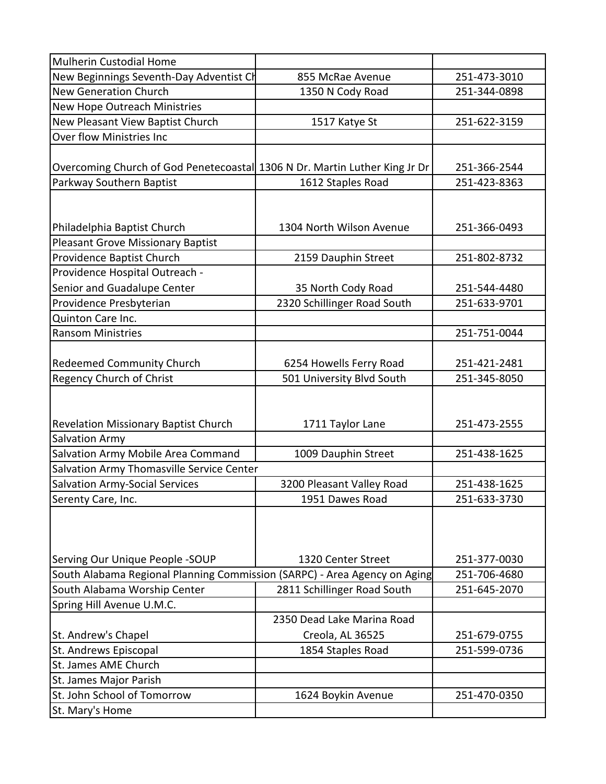| <b>Mulherin Custodial Home</b>                                             |                             |              |
|----------------------------------------------------------------------------|-----------------------------|--------------|
| New Beginnings Seventh-Day Adventist Ch                                    | 855 McRae Avenue            | 251-473-3010 |
| <b>New Generation Church</b>                                               | 1350 N Cody Road            | 251-344-0898 |
| New Hope Outreach Ministries                                               |                             |              |
| New Pleasant View Baptist Church                                           | 1517 Katye St               | 251-622-3159 |
| Over flow Ministries Inc                                                   |                             |              |
|                                                                            |                             |              |
| Overcoming Church of God Penetecoastal 1306 N Dr. Martin Luther King Jr Dr |                             | 251-366-2544 |
| Parkway Southern Baptist                                                   | 1612 Staples Road           | 251-423-8363 |
|                                                                            |                             |              |
|                                                                            |                             |              |
| Philadelphia Baptist Church                                                | 1304 North Wilson Avenue    | 251-366-0493 |
| <b>Pleasant Grove Missionary Baptist</b>                                   |                             |              |
| Providence Baptist Church                                                  | 2159 Dauphin Street         | 251-802-8732 |
| Providence Hospital Outreach -                                             |                             |              |
| Senior and Guadalupe Center                                                | 35 North Cody Road          | 251-544-4480 |
| Providence Presbyterian                                                    | 2320 Schillinger Road South | 251-633-9701 |
| Quinton Care Inc.                                                          |                             |              |
| <b>Ransom Ministries</b>                                                   |                             | 251-751-0044 |
|                                                                            |                             |              |
| <b>Redeemed Community Church</b>                                           | 6254 Howells Ferry Road     | 251-421-2481 |
| <b>Regency Church of Christ</b>                                            | 501 University Blvd South   | 251-345-8050 |
|                                                                            |                             |              |
|                                                                            |                             |              |
| Revelation Missionary Baptist Church                                       | 1711 Taylor Lane            | 251-473-2555 |
| Salvation Army                                                             |                             |              |
| Salvation Army Mobile Area Command                                         | 1009 Dauphin Street         | 251-438-1625 |
| Salvation Army Thomasville Service Center                                  |                             |              |
| <b>Salvation Army-Social Services</b>                                      | 3200 Pleasant Valley Road   | 251-438-1625 |
| Serenty Care, Inc.                                                         | 1951 Dawes Road             | 251-633-3730 |
|                                                                            |                             |              |
|                                                                            |                             |              |
|                                                                            |                             |              |
| Serving Our Unique People -SOUP                                            | 1320 Center Street          | 251-377-0030 |
| South Alabama Regional Planning Commission (SARPC) - Area Agency on Aging  |                             | 251-706-4680 |
| South Alabama Worship Center                                               | 2811 Schillinger Road South | 251-645-2070 |
| Spring Hill Avenue U.M.C.                                                  |                             |              |
|                                                                            | 2350 Dead Lake Marina Road  |              |
| St. Andrew's Chapel                                                        | Creola, AL 36525            | 251-679-0755 |
| St. Andrews Episcopal                                                      | 1854 Staples Road           | 251-599-0736 |
| St. James AME Church                                                       |                             |              |
| St. James Major Parish                                                     |                             |              |
| St. John School of Tomorrow                                                | 1624 Boykin Avenue          | 251-470-0350 |
| St. Mary's Home                                                            |                             |              |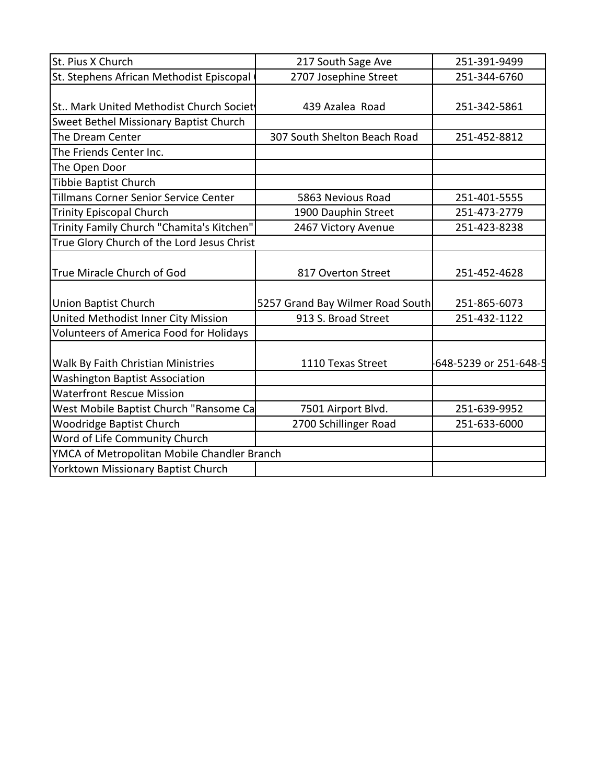| St. Pius X Church                           | 217 South Sage Ave               | 251-391-9499           |
|---------------------------------------------|----------------------------------|------------------------|
| St. Stephens African Methodist Episcopal    | 2707 Josephine Street            | 251-344-6760           |
|                                             |                                  |                        |
| St Mark United Methodist Church Societ      | 439 Azalea Road                  | 251-342-5861           |
| Sweet Bethel Missionary Baptist Church      |                                  |                        |
| The Dream Center                            | 307 South Shelton Beach Road     | 251-452-8812           |
| The Friends Center Inc.                     |                                  |                        |
| The Open Door                               |                                  |                        |
| Tibbie Baptist Church                       |                                  |                        |
| Tillmans Corner Senior Service Center       | 5863 Nevious Road                | 251-401-5555           |
| <b>Trinity Episcopal Church</b>             | 1900 Dauphin Street              | 251-473-2779           |
| Trinity Family Church "Chamita's Kitchen"   | 2467 Victory Avenue              | 251-423-8238           |
| True Glory Church of the Lord Jesus Christ  |                                  |                        |
| True Miracle Church of God                  | 817 Overton Street               | 251-452-4628           |
| <b>Union Baptist Church</b>                 | 5257 Grand Bay Wilmer Road South | 251-865-6073           |
| United Methodist Inner City Mission         | 913 S. Broad Street              | 251-432-1122           |
| Volunteers of America Food for Holidays     |                                  |                        |
| Walk By Faith Christian Ministries          | 1110 Texas Street                | -648-5239 or 251-648-5 |
| <b>Washington Baptist Association</b>       |                                  |                        |
| <b>Waterfront Rescue Mission</b>            |                                  |                        |
| West Mobile Baptist Church "Ransome Ca      | 7501 Airport Blvd.               | 251-639-9952           |
| <b>Woodridge Baptist Church</b>             | 2700 Schillinger Road            | 251-633-6000           |
| Word of Life Community Church               |                                  |                        |
| YMCA of Metropolitan Mobile Chandler Branch |                                  |                        |
| Yorktown Missionary Baptist Church          |                                  |                        |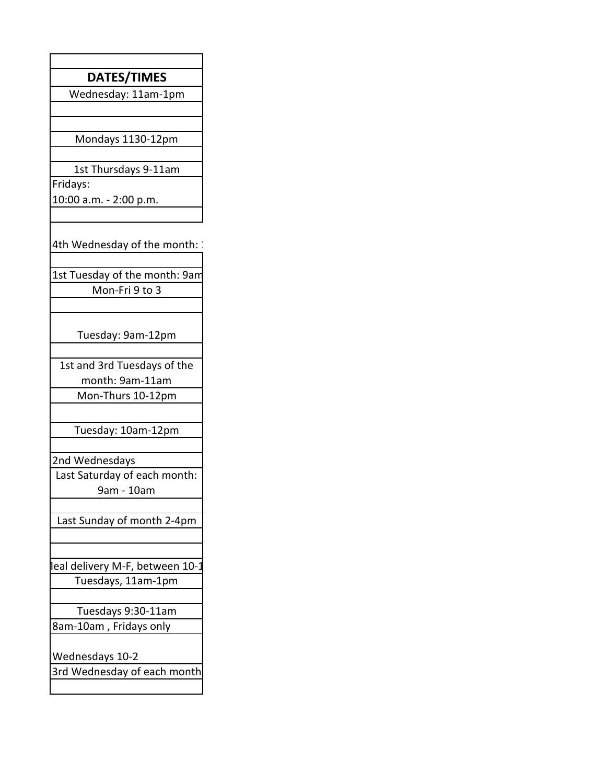| DATES/TIMES                     |
|---------------------------------|
| Wednesday: 11am-1pm             |
|                                 |
| Mondays 1130-12pm               |
|                                 |
| 1st Thursdays 9-11am            |
| Fridays:                        |
| 10:00 a.m. - 2:00 p.m.          |
|                                 |
| 4th Wednesday of the month: 2   |
| 1st Tuesday of the month: 9am   |
| Mon-Fri 9 to 3                  |
|                                 |
|                                 |
| Tuesday: 9am-12pm               |
| 1st and 3rd Tuesdays of the     |
| month: 9am-11am                 |
| Mon-Thurs 10-12pm               |
|                                 |
| Tuesday: 10am-12pm              |
| 2nd Wednesdays                  |
| Last Saturday of each month:    |
| 9am - 10am                      |
|                                 |
| Last Sunday of month 2-4pm      |
|                                 |
| leal delivery M-F, between 10-1 |
| Tuesdays, 11am-1pm              |
|                                 |
| Tuesdays 9:30-11am              |
| 8am-10am, Fridays only          |
|                                 |
| Wednesdays 10-2                 |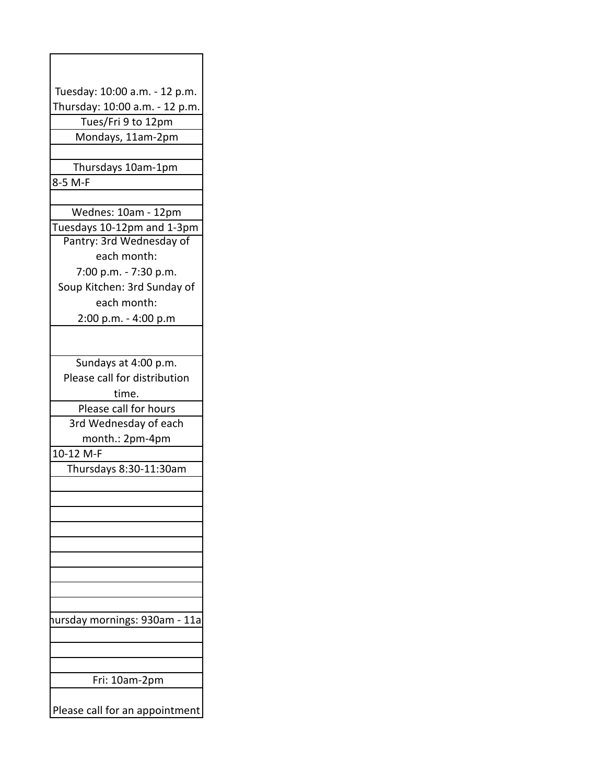| Tuesday: 10:00 a.m. - 12 p.m.  |
|--------------------------------|
| Thursday: 10:00 a.m. - 12 p.m. |
| Tues/Fri 9 to 12pm             |
| Mondays, 11am-2pm              |
|                                |
| Thursdays 10am-1pm             |
| 8-5 M-F                        |
|                                |
| Wednes: 10am - 12pm            |
| Tuesdays 10-12pm and 1-3pm     |
| Pantry: 3rd Wednesday of       |
| each month:                    |
| 7:00 p.m. - 7:30 p.m.          |
| Soup Kitchen: 3rd Sunday of    |
| each month:                    |
|                                |
| 2:00 p.m. - 4:00 p.m           |
|                                |
| Sundays at 4:00 p.m.           |
| Please call for distribution   |
| time.                          |
| Please call for hours          |
| 3rd Wednesday of each          |
|                                |
| month.: 2pm-4pm                |
| 10-12 M-F                      |
| Thursdays 8:30-11:30am         |
|                                |
|                                |
|                                |
|                                |
|                                |
|                                |
|                                |
|                                |
|                                |
| nursday mornings: 930am - 11a  |
|                                |
|                                |
|                                |
| Fri: 10am-2pm                  |
| Please call for an appointment |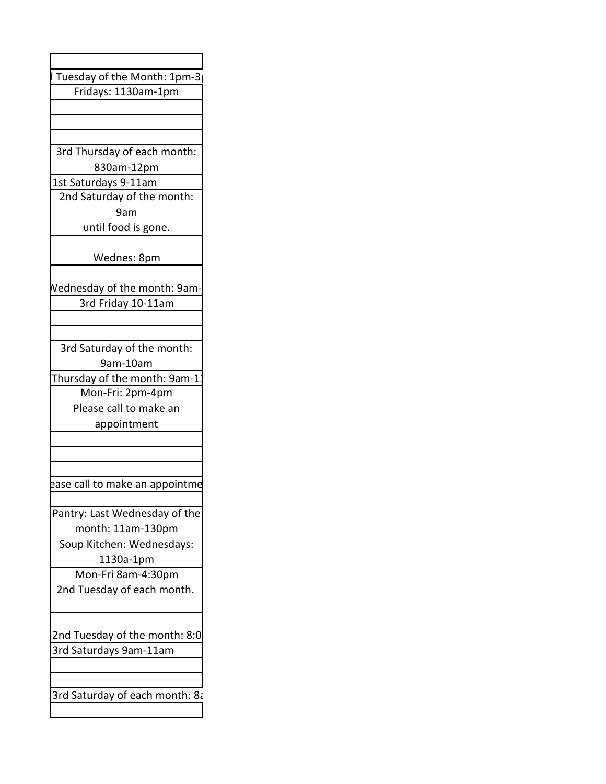| Tuesday of the Month: 1pm-3p        |
|-------------------------------------|
| Fridays: 1130am-1pm                 |
|                                     |
|                                     |
|                                     |
| 3rd Thursday of each month:         |
| 830am-12pm                          |
| 1st Saturdays 9-11am                |
| 2nd Saturday of the month:          |
| 9am                                 |
| until food is gone.                 |
|                                     |
| Wednes: 8pm                         |
|                                     |
| <b>Nednesday of the month: 9am-</b> |
| 3rd Friday 10-11am                  |
|                                     |
|                                     |
| 3rd Saturday of the month:          |
| 9am-10am                            |
| Thursday of the month: 9am-1        |
| Mon-Fri: 2pm-4pm                    |
| Please call to make an              |
| appointment                         |
|                                     |
|                                     |
|                                     |
| ease call to make an appointme      |
|                                     |
| Pantry: Last Wednesday of the       |
| month: 11am-130pm                   |
| Soup Kitchen: Wednesdays:           |
| 1130a-1pm                           |
| Mon-Fri 8am-4:30pm                  |
| 2nd Tuesday of each month.          |
|                                     |
|                                     |
| 2nd Tuesday of the month: 8:0       |
| 3rd Saturdays 9am-11am              |
|                                     |
|                                     |
| 3rd Saturday of each month: 8a      |
|                                     |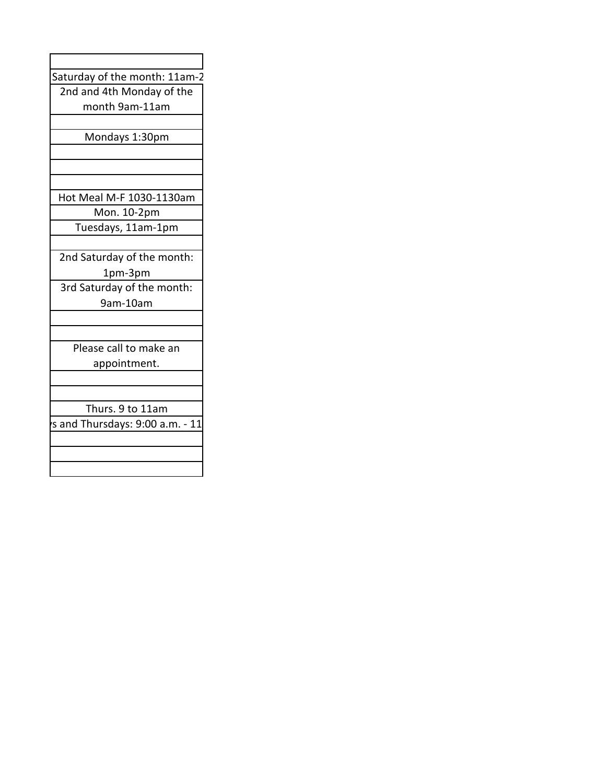| Saturday of the month: 11am-2   |  |
|---------------------------------|--|
| 2nd and 4th Monday of the       |  |
| month 9am-11am                  |  |
|                                 |  |
| Mondays 1:30pm                  |  |
|                                 |  |
|                                 |  |
|                                 |  |
| Hot Meal M-F 1030-1130am        |  |
| Mon. 10-2pm                     |  |
| Tuesdays, 11am-1pm              |  |
|                                 |  |
| 2nd Saturday of the month:      |  |
| 1pm-3pm                         |  |
| 3rd Saturday of the month:      |  |
| 9am-10am                        |  |
|                                 |  |
|                                 |  |
| Please call to make an          |  |
| appointment.                    |  |
|                                 |  |
|                                 |  |
| Thurs. 9 to 11am                |  |
| s and Thursdays: 9:00 a.m. - 11 |  |
|                                 |  |
|                                 |  |
|                                 |  |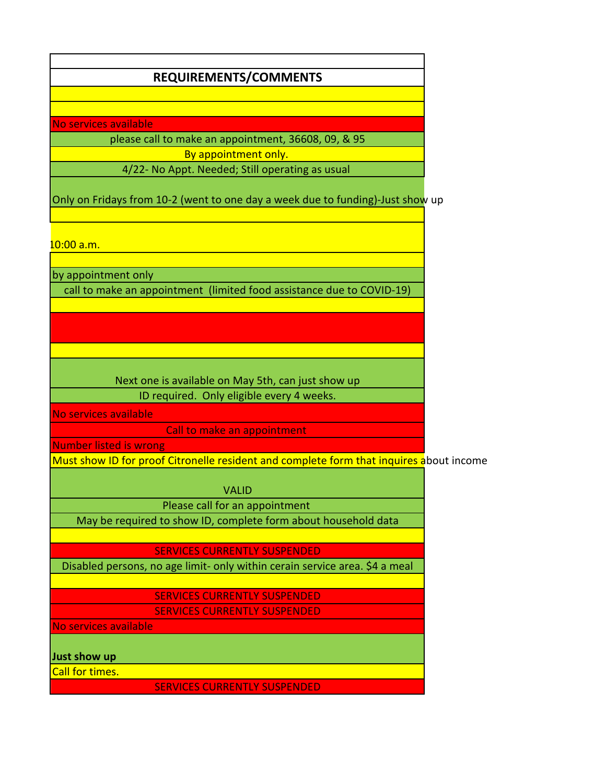## **REQUIREMENTS/COMMENTS**

No services available

please call to make an appointment, 36608, 09, & 95 By appointment only. 4/22- No Appt. Needed; Still operating as usual

Only on Fridays from 10-2 (went to one day a week due to funding)-Just show up

<mark>10:00 a.m.</mark>

by appointment only

call to make an appointment (limited food assistance due to COVID-19)

Next one is available on May 5th, can just show up ID required. Only eligible every 4 weeks.

No services available

Call to make an appointment

Number listed is wrong

Must show ID for proof Citronelle resident and complete form that inquires about income

VALID

Please call for an appointment

May be required to show ID, complete form about household data

SERVICES CURRENTLY SUSPENDED

Disabled persons, no age limit- only within cerain service area. \$4 a meal

SERVICES CURRENTLY SUSPENDED SERVICES CURRENTLY SUSPENDED

No services available

**Just show up** 

Call for times.

SERVICES CURRENTLY SUSPENDED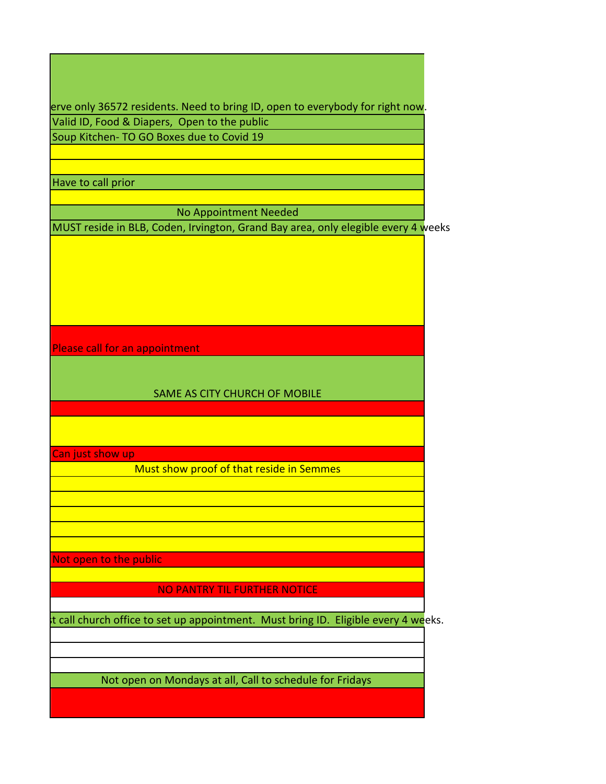erve only 36572 residents. Need to bring ID, open to everybody for right now. Valid ID, Food & Diapers, Open to the public Soup Kitchen- TO GO Boxes due to Covid 19

Have to call prior

No Appointment Needed

MUST reside in BLB, Coden, Irvington, Grand Bay area, only elegible every 4 weeks

Please call for an appointment

SAME AS CITY CHURCH OF MOBILE

Can just show up

Must show proof of that reside in Semmes

Not open to the public

NO PANTRY TIL FURTHER NOTICE

t call church office to set up appointment. Must bring ID. Eligible every 4 weeks.

Not open on Mondays at all, Call to schedule for Fridays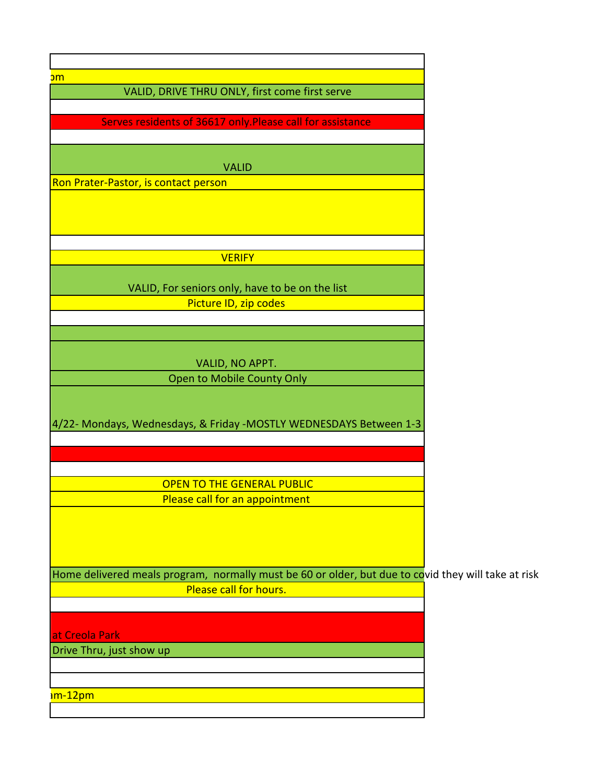| <mark>om</mark><br>VALID, DRIVE THRU ONLY, first come first serve                                   |  |
|-----------------------------------------------------------------------------------------------------|--|
|                                                                                                     |  |
| Serves residents of 36617 only. Please call for assistance                                          |  |
|                                                                                                     |  |
|                                                                                                     |  |
| <b>VALID</b>                                                                                        |  |
| Ron Prater-Pastor, is contact person                                                                |  |
|                                                                                                     |  |
|                                                                                                     |  |
|                                                                                                     |  |
| <b>VERIFY</b>                                                                                       |  |
|                                                                                                     |  |
| VALID, For seniors only, have to be on the list                                                     |  |
| Picture ID, zip codes                                                                               |  |
|                                                                                                     |  |
|                                                                                                     |  |
|                                                                                                     |  |
| VALID, NO APPT.<br>Open to Mobile County Only                                                       |  |
|                                                                                                     |  |
| 4/22- Mondays, Wednesdays, & Friday -MOSTLY WEDNESDAYS Between 1-3                                  |  |
| <b>OPEN TO THE GENERAL PUBLIC</b>                                                                   |  |
| Please call for an appointment                                                                      |  |
|                                                                                                     |  |
|                                                                                                     |  |
|                                                                                                     |  |
|                                                                                                     |  |
| Home delivered meals program, normally must be 60 or older, but due to covid they will take at risk |  |
| Please call for hours.                                                                              |  |
|                                                                                                     |  |
| at Creola Park                                                                                      |  |
| Drive Thru, just show up                                                                            |  |
|                                                                                                     |  |
|                                                                                                     |  |
| <mark>ım-12pm</mark>                                                                                |  |
|                                                                                                     |  |
|                                                                                                     |  |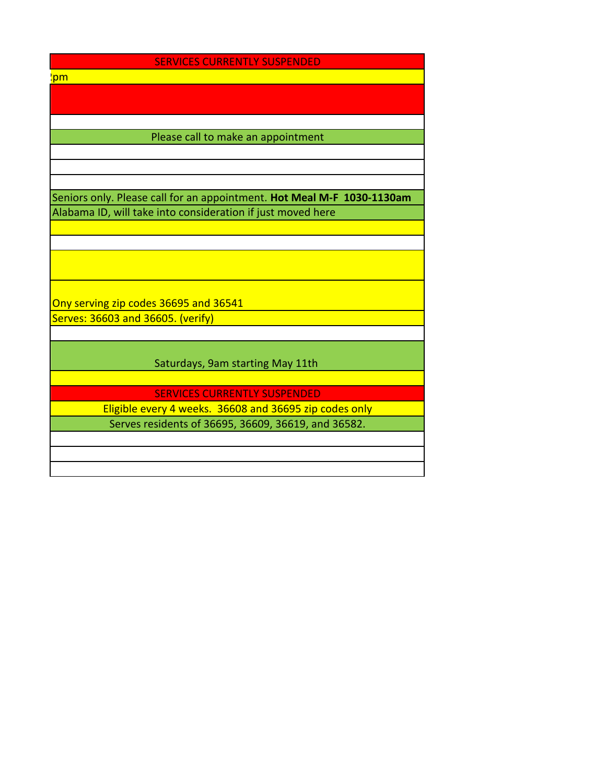## SERVICES CURRENTLY SUSPENDED

3rd <mark>'pm</mark>

## Please call to make an appointment

Seniors only. Please call for an appointment. **Hot Meal M-F 1030-1130am** Alabama ID, will take into consideration if just moved here

Ony serving zip codes 36695 and 36541 Serves: 36603 and 36605. (verify)

Saturdays, 9am starting May 11th

SERVICES CURRENTLY SUSPENDED

Eligible every 4 weeks. 36608 and 36695 zip codes only Serves residents of 36695, 36609, 36619, and 36582.